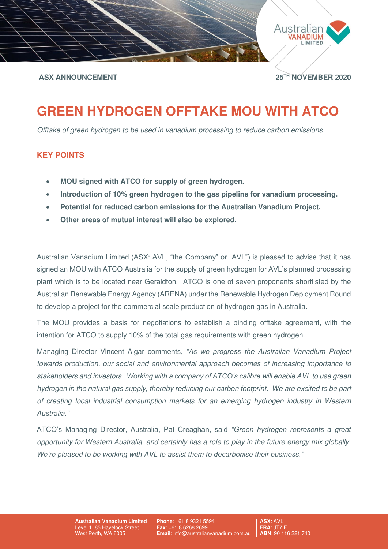

## **ASX ANNOUNCEMENT 25TH NOVEMBER 2020**

# **GREEN HYDROGEN OFFTAKE MOU WITH ATCO**

Offtake of green hydrogen to be used in vanadium processing to reduce carbon emissions

## **KEY POINTS**

- **MOU signed with ATCO for supply of green hydrogen.**
- **Introduction of 10% green hydrogen to the gas pipeline for vanadium processing.**
- **Potential for reduced carbon emissions for the Australian Vanadium Project.**
- **Other areas of mutual interest will also be explored.**

Australian Vanadium Limited (ASX: AVL, "the Company" or "AVL") is pleased to advise that it has signed an MOU with ATCO Australia for the supply of green hydrogen for AVL's planned processing plant which is to be located near Geraldton. ATCO is one of seven proponents shortlisted by the Australian Renewable Energy Agency (ARENA) under the Renewable Hydrogen Deployment Round to develop a project for the commercial scale production of hydrogen gas in Australia.

The MOU provides a basis for negotiations to establish a binding offtake agreement, with the intention for ATCO to supply 10% of the total gas requirements with green hydrogen.

Managing Director Vincent Algar comments, *"As we progress* the Australian Vanadium Project towards production, our social and environmental approach becomes of increasing importance to stakeholders and investors*. Working with a company of ATCO's calibre* will enable AVL to use green hydrogen in the natural gas supply, thereby reducing our carbon footprint. We are excited to be part of creating local industrial consumption markets for an emerging hydrogen industry in Western *Australia."*

ATCO's Managing Director, Australia, Pat Creaghan, said *"Green hydrogen represents a great*  opportunity for Western Australia, and certainly has a role to play in the future energy mix globally. *We're pleased to be working with AVL to assist them to decarbonise their business."*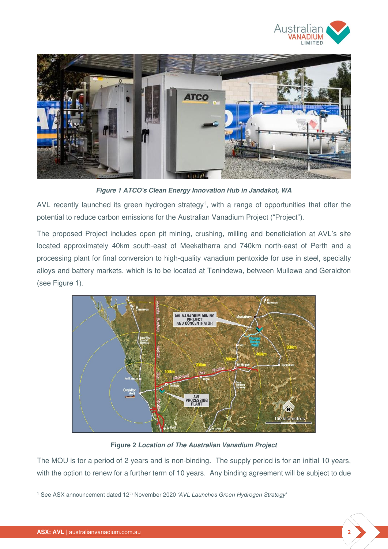



**Figure 1 ATCO's Clean Energy Innovation Hub in Jandakot, WA** 

AVL recently launched its green hydrogen strategy<sup>1</sup>, with a range of opportunities that offer the potential to reduce carbon emissions for the Australian Vanadium Project ("Project").

The proposed Project includes open pit mining, crushing, milling and beneficiation at AVL's site located approximately 40km south-east of Meekatharra and 740km north-east of Perth and a processing plant for final conversion to high-quality vanadium pentoxide for use in steel, specialty alloys and battery markets, which is to be located at Tenindewa, between Mullewa and Geraldton (see Figure 1).



**Figure 2 Location of The Australian Vanadium Project** 

The MOU is for a period of 2 years and is non-binding. The supply period is for an initial 10 years, with the option to renew for a further term of 10 years. Any binding agreement will be subject to due

<sup>&</sup>lt;sup>1</sup> See ASX announcement dated 12<sup>th</sup> November 2020 'AVL Launches Green Hydrogen Strategy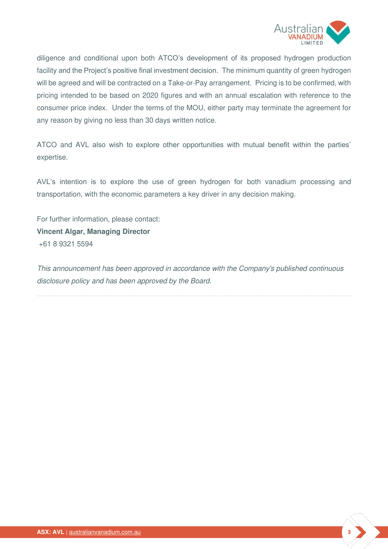

diligence and conditional upon both ATCO's development of its proposed hydrogen production facility and the Project's positive final investment decision. The minimum quantity of green hydrogen will be agreed and will be contracted on a Take-or-Pay arrangement. Pricing is to be confirmed, with pricing intended to be based on 2020 figures and with an annual escalation with reference to the consumer price index. Under the terms of the MOU, either party may terminate the agreement for any reason by giving no less than 30 days written notice.

ATCO and AVL also wish to explore other opportunities with mutual benefit within the parties' expertise.

AVL's intention is to explore the use of green hydrogen for both vanadium processing and transportation, with the economic parameters a key driver in any decision making.

For further information, please contact: **Vincent Algar, Managing Director**  +61 8 9321 5594

This announcement has been approved in accordance with the Company's published continuous disclosure policy and has been approved by the Board.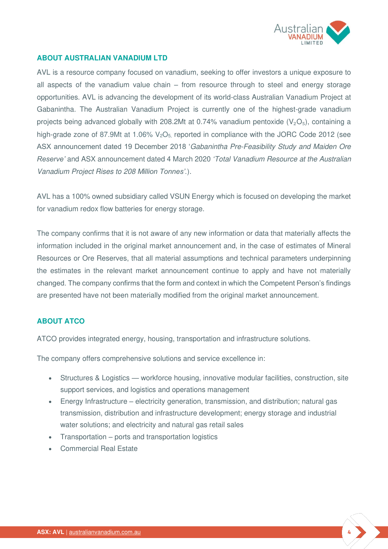

#### **ABOUT AUSTRALIAN VANADIUM LTD**

AVL is a resource company focused on vanadium, seeking to offer investors a unique exposure to all aspects of the vanadium value chain – from resource through to steel and energy storage opportunities. AVL is advancing the development of its world-class Australian Vanadium Project at Gabanintha. The Australian Vanadium Project is currently one of the highest-grade vanadium projects being advanced globally with 208.2Mt at 0.74% vanadium pentoxide  $(V_2O_5)$ , containing a high-grade zone of 87.9Mt at 1.06%  $V_2O_5$  reported in compliance with the JORC Code 2012 (see ASX announcement dated 19 December 2018 'Gabanintha Pre-Feasibility Study and Maiden Ore *Reserve'* and ASX announcement dated 4 March 2020 *'*Total Vanadium Resource at the Australian Vanadium Project Rises to 208 M*illion Tonnes'.*).

AVL has a 100% owned subsidiary called VSUN Energy which is focused on developing the market for vanadium redox flow batteries for energy storage.

The company confirms that it is not aware of any new information or data that materially affects the information included in the original market announcement and, in the case of estimates of Mineral Resources or Ore Reserves, that all material assumptions and technical parameters underpinning the estimates in the relevant market announcement continue to apply and have not materially changed. The company confirms that the form and context in which the Competent Person's findings are presented have not been materially modified from the original market announcement.

### **ABOUT ATCO**

ATCO provides integrated energy, housing, transportation and infrastructure solutions.

The company offers comprehensive solutions and service excellence in:

- Structures & Logistics workforce housing, innovative modular facilities, construction, site support services, and logistics and operations management
- Energy Infrastructure electricity generation, transmission, and distribution; natural gas transmission, distribution and infrastructure development; energy storage and industrial water solutions; and electricity and natural gas retail sales
- Transportation ports and transportation logistics
- Commercial Real Estate